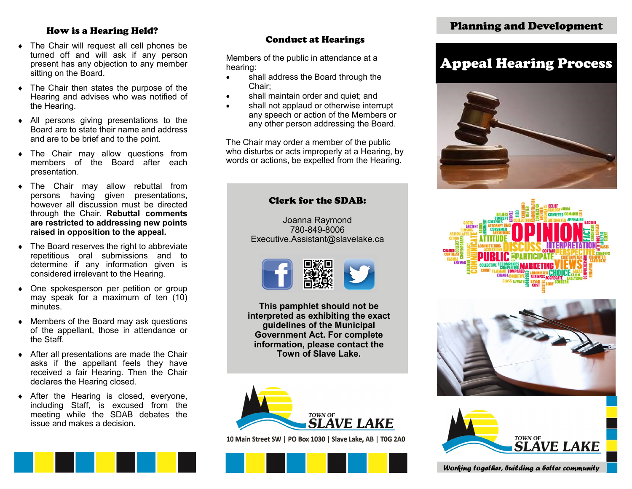- The Chair will request all cell phones be turned off and will ask if any person present has any objection to any member sitting on the Board.
- The Chair then states the purpose of the Hearing and advises who was notified of the Hearing.
- All persons giving presentations to the Board are to state their name and address and are to be brief and to the point.
- The Chair may allow questions from members of the Board after each presentation.
- The Chair may allow rebuttal from persons having given presentations, however all discussion must be directed through the Chair. **Rebuttal comments are restricted to addressing new points raised in opposition to the appeal.**
- The Board reserves the right to abbreviate repetitious oral submissions and to determine if any information given is considered irrelevant to the Hearing.
- One spokesperson per petition or group may speak for a maximum of ten (10) minutes.
- Members of the Board may ask questions of the appellant, those in attendance or the Staff.
- After all presentations are made the Chair asks if the appellant feels they have received a fair Hearing. Then the Chair declares the Hearing closed.
- $\triangleleft$  After the Hearing is closed, everyone, including Staff, is excused from the meeting while the SDAB debates the issue and makes a decision.

# Conduct at Hearings

Members of the public in attendance at a hearing:

- shall address the Board through the Chair;
- shall maintain order and quiet; and
- shall not applaud or otherwise interrupt any speech or action of the Members or any other person addressing the Board.

The Chair may order a member of the public who disturbs or acts improperly at a Hearing, by words or actions, be expelled from the Hearing.

## Clerk for the SDAB:

Joanna Raymond 780-849-8006 Executive.Assistant@slavelake.ca



**This pamphlet should not be interpreted as exhibiting the exact guidelines of the Municipal Government Act. For complete information, please contact the Town of Slave Lake.**



10 Main Street SW | PO Box 1030 | Slave Lake, AB | T0G 2A0



# Planning and Development How is a Hearing Held?

# Appeal Hearing Process









*Working together, building a better community*